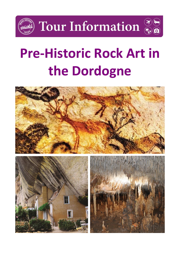

# **Pre-Historic Rock Art in the Dordogne**

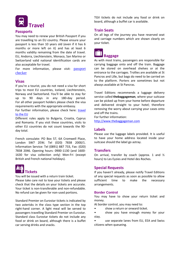

#### **Passports**

You may need to renew your British Passport if you are travelling to an EU country. Please ensure your passport is less than 10 years old (even if it has 6 months or more left on it) and has at least 6 months validity remaining from the date of travel. EU, Andorra, Liechtenstein, Monaco, San Marino or Switzerland valid national identification cards are also acceptable for travel.

For more information, please visit: passport [checker](https://www.gov.uk/visit-europe-1-january-2021?utm_medium=uktrav-partner&utm_source=social&utm_campaign=transition&utm_content=AITO)

#### **Visas**

If you're a tourist, you do not need a visa for short trips to most EU countries, Iceland, Liechtenstein, Norway and Switzerland. You'll be able to stay for up to 90 days in any 180-day period. For all other passport holders please check the visa requirements with the appropriate embassy.

For further information, please check here: travel [to the EU](https://www.gov.uk/visit-europe-1-january-2021?utm_medium=uktrav-partner&utm_source=social&utm_campaign=transition&utm_content=AITO)

Different rules apply to Bulgaria, Croatia, Cyprus and Romania. If you visit these countries, visits to other EU countries do not count towards the 90 day total.

French consulate: PO Box 57, 6A Cromwell Place, London SW7 2EW; Tel (020) 7838 2000/1. Information Service: Tel (0891) 887 733, Fax: (020) 7838 2046. Opening hours: 0900-1130 (and 1600- 1630 for visa collection only) Mon-Fri (except British and French national holidays).

## **Tickets**

You will be issued with a return train ticket. Please take care not to lose your tickets and please check that the details on your tickets are accurate. Your ticket is non-transferable and non-refundable. No refund can be given for non-used portions.

Standard Premier on Eurostar tickets is indicated by two asterisks in the class type section in the top right-hand corner. A light meal will be served to passengers travelling Standard Premier on Eurostar. Standard class Eurostar tickets do not include any food or drink on board, although there is a buffet car serving drinks and snacks.

TGV tickets do not include any food or drink on board, although a buffet car is available.

#### **Train Seats**

On all legs of the journey you have reserved seat and carriage numbers which are shown clearly on your ticket.



As with most trains, passengers are responsible for carrying baggage onto and off the train. Baggage can be stored on overhead shelves or at the entrance to the carriages. Trollies are available at St Pancras and Lille, but bags do need to be carried on to the platform. Porters are sometimes but not always available at St Pancras.

Travel Editions recommends a luggage delivery service called **thebaggageman**, where your suitcase can be picked up from your home before departure and delivered straight to your hotel; therefore removing the worry about carrying your cases onto and off the trains.

For further information: [http://www.thebaggageman.com](http://www.thebaggageman.com/)

#### **Labels**

Please use the luggage labels provided. It is useful to have your home address located inside your suitcase should the label go astray.

#### **Transfers**

On arrival, transfer by coach (approx. 1 and ½ hours) to Les Eyzies and Hotel des Roches.

#### **Special Requests**

If you haven't already, please notify Travel Editions of any special requests as soon as possible to allow sufficient time to make the necessary arrangements.

#### **Border Control**

You may have to show your return ticket and money.

At border control, you may need to:

- show a return or onward ticket.
- show you have enough money for your stay.
- use separate lanes from EU, EEA and Swiss citizens when queueing.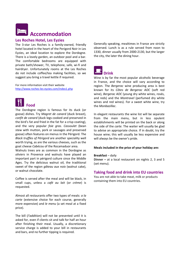## **Accommodation**

#### **Les Roches Hotel, Les Eyzies**

The 3-star Les Roches is a family-owned, friendly hotel located in the heart of the Perigord Noir in Les Eyzies, an ideal location to explore the Dordogne. There is a lovely garden, an outdoor pool and a bar. The comfortable bedrooms are equipped with private bath/shower, TV, telephone, safe, wi-fi and hairdryer. Unfortunately rooms at the Les Roches do not include coffee/tea making facilities, so we suggest you bring a travel kettle if required.

For more information visit their website <http://www.roches-les-eyzies.com/index1.php>



The Dordogne region is famous for its duck (or goose) dishes. Try *Magret de canard* (duck breast), *confit de canard* (duck legs cooked and preserved in the bird's fat and fried in the fat for a crisp coating), and the very popular *foie gras*. *Cassoulet* (bean stew with mutton, pork or sausages and preserved goose) often features on menus in the Périgord. The *Black truffles of Périgord* are another speciality well worth trying, as are the various cheeses, such as the goat cheese *Cabécou* of the Rocamaduor area.

Walnuts trees are as common in the Dordogne as *oliviers* in Provence and walnuts have played an important part in périgord culture since the Middle Ages. Try the delicious walnut oil, the traditional sweet of the region *gâteau aux noix* (walnut cake), or walnut chocolate.

Coffee is served after the meal and will be black, in small cups, unless a *café au lait* (or *crème*) is requested.

Almost all restaurants offer two types of meals: *a la carte* (extensive choice for each course, generally more expensive) and *le menu* (a set meal at a fixed price).

The bill (*l'addition*) will not be presented until it is asked for, even if clients sit and talk for half an hour after finishing their meal. Usually, a discretionary service charge is added to your bill in restaurants and bars, and no further tipping is required.

Generally speaking, mealtimes in France are strictly observed. Lunch is as a rule served from noon to 1330, dinner usually from 2000-2130, but the larger the city, the later the dining hour.



Wine is by far the most popular alcoholic beverage in France, and the choice will vary according to region. The *Bergerac* wine producing area is best known for its *Côtes de Bergerac AOC* (soft red wine), *Bergerac AOC* (young dry white wines, rosés, and reds) and the *Montravel* (perfumed dry white wines and red wines). For a sweet white wine, try the *Monbazillac*.

In elegant restaurants the wine list will be separate from the main menu, but in less opulent establishments will be printed on the back or along the side of the *carte.* The waiter will usually be glad to advise an appropriate choice. If in doubt, try the house wine; this will usually be less expensive and will always be the owner's pride.

#### **Meals included in the price of your holiday are:**

**Breakfast** – daily **Dinner –** at a local restaurant on nights 2, 3 and 5 (set menu).

#### **Taking food and drink into EU countries**

You are not able to take meat, milk or products containing them into EU countries.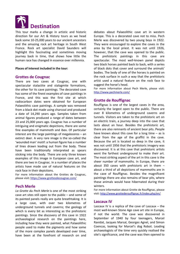

This tour marks a change in artistic and historic direction for our Art & History tours as we head back some 10-25,000 years to our ancient ancestors and the amazing rock art heritage in South West France. Rock art specialist David Saunders will highlight this fascinating and sometimes moving journey back in time, that shows how little the human race has changed in essence over millennia.

#### **Places of interest included in the tour:**

#### **Grottes de Cougnac**

There are two caves at Cougnac, one with spectacular stalactite and stalagmite formations, the other for its cave paintings. The decorated cave has some of the finest examples of cave paintings in France, and this was the first site at which radiocarbon dates were obtained for European Palaeolithic cave paintings. A sample was removed from a black dot made using charcoal and produced a date of 14,290 years ago. Samples taken from animal figures produced a range of dates between 23 and 25,000 years ago. Cougnac has a number of intriguing and enigmatic depictions, there are some fine examples of mammoth and ibex. Of particular interest are the large paintings of megaloceros – an extinct deer. A very rare image is the so-called the 'wounded man' motif: a human figure has a number of lines drawn leading out from the body. These have been traditionally interpreted as spears sticking into the body. There are only three known examples of this image in European cave art, and there are two in Cougnac. In a number of places the artists have made use of natural features on the rock face in their depictions.

For more information about the Grottes de Cougnac, please visit: <https://www.grottesdecougnac.com/>

#### **Pech Merle**

*La Grotte du Pech Merle* is one of the most striking cave art sites still open to the public – and some of its painted panels really are quite breathtaking. It is a large cave, with over two kilometres of underground tunnels and caverns; the geology of which is every bit as interesting as the prehistoric paintings. Since the discovery of this cave in 1922 archaeological research on the paintings here, including how they were painted, what Palaeolithic people used to make the pigments and how some of the more complex panels developed over time, have been at the forefront of research on and

debates about Palaeolithic cave art in western Europe. This is a decorated cave not to miss. Pech Merle was discovered by two young boys in 1922. They were encouraged to explore the caves in the area by the local priest. It was not until 1926, however, that the cave was opened to the public. The prehistoric paintings in this cave are spectacular. The most well-known panel depicts two black horses painted back to back, with a series of black dots that cover and surround the animals' bodies. The body of one of the horses is painted on the rock surface in such a way that the prehistoric artist used a natural feature on the rock face to suggest the horse's head.

For more information about Pech Merle, please visit: <http://www.pechmerle.com/>

#### **Grotte de Rouffignac**

Rouffignac is one of the largest caves in the area, certainly the largest open to the public. There are over 8 kilometres of underground caverns and tunnels. Visitors are taken to the prehistoric art on an electric train, a journey deep into the cave that lasts about an hour. Besides the prehistoric art, there are also remnants of ancient bear pits. People have known about this cave for a long time – as is clear from the age of the graffiti in the cave. Because the art is located so deep in the cave, it was not until 1956 that the prehistoric imagery was discovered. It is at this cave that prehistoric artists went the farthest underground to make their art. The most striking aspect of the art in this cave is the sheer number of mammoths. In Europe, there are about 350 caves with prehistoric art in them – about a third of all depictions of mammoths are in the cave of Rouffignac. Besides the magnificent paintings there are also remains of bear pits, where these animals would have hibernated during their winters.

For more information about Grotte de Rouffignac, please visit[: http://www.grottederouffignac.fr/index.php/en/](http://www.grottederouffignac.fr/index.php/en/)

#### **Lascaux IV**

Lascaux IV is a replica of the cave of Lascaux – the most well-known Stone Age cave art site in Europe, if not the world. The cave was discovered in September of 1940 by four teenagers, Marcel Ravidat, Jacques Marsal, Georges Agnel, and Simon Coencas, looking for Marcel's dog Robot. Leading archaeologists of the time very quickly realised the site's significance, and the cave was then opened to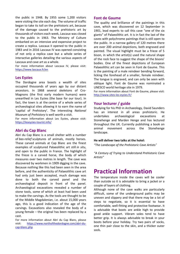the public in 1948. By 1955 some 1,200 visitors were visiting the site each day. The volume of traffic began to take its toll on the prehistoric art, because of the damage caused to the prehistoric art by thousands of visitors each week, Lascaux was closed to the public in 1963. The Ministry of Culture embarked on an intensive and expensive project to create a replica. Lascaux II opened to the public in 1983 and in 2016 Lascaux IV was opened consisting of not only a replica cave but a whole series of interactive galleries detailing the various aspects of Lascaux and cave art as a whole.

For more information about Lascaux IV, please visit: <https://www.lascaux.fr/en>

#### **Les Eyzies**

The Dordogne area boasts a wealth of sites occupied thousands of years ago by our distant ancestors. In 1868 several skeletons of Cro-Magnons (the first early modern humans) were unearthed in Les Eyzies (the base for our tour). In fact, the town is at the centre of a whole series of archaeological sites allowing it to earn the name of 'capital of Prehistory'. The interesting *National Museum of Prehistory* is well worth a visit.

For more information about Les Eyzies, please visit: <https://leseyzies-tourist.info/>

#### **Abri du Cap Blanc**

Abri du Cap Blanc is a small shelter with a number of *bas-relief* sculptures of animals, mostly horses. These carved animals at Cap Blanc are the finest examples of sculptured Palaeolithic art still *in situ*, and open to the public in France. The highlight of the frieze is a carved horse, the body of which measures over two metres in length. The cave was discovered by workmen in 1909 digging in the cave. Because nothing like this had been seen in the area before, and the authenticity of Palaeolithic cave art had only just been accepted, much damage was done to both the carved panel and the archaeological deposit in front of the panel. Archaeological excavations revealed a number of stone tools, some of which at least had been used to make the carvings. As the tools are thought to be of the Middle Magdalenian, i.e. about 15,000 years ago, this is a good indication of the age of the carvings. Excavations also revealed the body of a young female – the original has been replaced by a cast.

For more information about Abri du Cap Blanc, please visit: [https://www.northofthedordogne.com/abri-du](https://www.northofthedordogne.com/abri-du-cap-blanc.php)[cap-blanc.php](https://www.northofthedordogne.com/abri-du-cap-blanc.php)

#### **Font de Gaume**

The quality and brilliance of the paintings in this cave, which was discovered on 12 September in 1901, lead experts to call this cave "one of the six giants" of Palaeolithic art. It is in fact the last of the caves with polychrome paintings that is still open to the public. In a narrow gallery of 120 metres there are over 200 animal depictions, both engraved and painted. The visual highlight must be a frieze of 5 bison, in which the artist(s) used the natural shape of the rock face to suggest the shape of the bisons' bodies. One of the finest depictions of European Palaeolithic art can be seen in Font de Gaume. This is the painting of a male reindeer bending forward, licking the forehead of a smaller, female reindeer. The tongue is engraved, and can only be seen with oblique light. Font de Gaume was nominated a UNESCO world heritage site in 1979.

For more information about Font de Gaume, please visit: <http://www.sites-les-eyzies.fr/>

#### **Your lecturer / guide**

Studying for his PhD in Archaeology, David Saunders has an interest in all areas prehistoric. He undertakes archaeological excavations at Stonehenge and Marden Henge and has lectured throughout the UK. Currently publishing a book on animal movement across the Stonehenge landscape.

#### **He will deliver two talks at the hotel:**

*"The Landscape of the Prehistoric Cave Artists"* 

*"A Century of Trying to Understand Prehistoric Cave Artists"*

### **Practical Information**

The temperature inside the caves will be cooler than outside so it is advisable to bring a jacket or a couple of layers of clothing.

Although none of the cave walks are particularly difficult, some of the underground paths may be uneven and slippery and that there may be a lot of steps to negotiate, so it is essential to have comfortable, well-fitting and protective footwear**.** It is advisable that boots are ankle high to provide good ankle support. Vibram soles tend to have better grip. It is always advisable to break in your boots before your holiday. Try two pairs of socks, one thin pair close to the skin, and a thicker outer sock**.**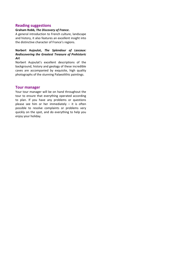#### **Reading suggestions**

#### **Graham Robb,** *The Discovery of France***.**

A general introduction to French culture, landscape and history, it also features an excellent insight into the distinctive character of France's regions.

#### **Norbert Aujoulat,** *The Splendour of Lascaux: Rediscovering the Greatest Treasure of Prehistoric Art*

Norbert Aujoulat's excellent descriptions of the background, history and geology of these incredible caves are accompanied by exquisite, high quality photographs of the stunning Palaeolithic paintings.

#### **Tour manager**

Your tour manager will be on hand throughout the tour to ensure that everything operated according to plan. If you have any problems or questions please see him or her immediately  $-$  it is often possible to resolve complaints or problems very quickly on the spot, and do everything to help you enjoy your holiday.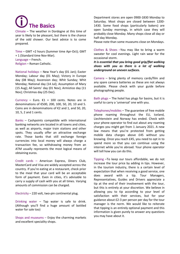**The Basics** 

Climate – The weather in Dordogne at this time of year is likely to be pleasant, but there is the chance of the odd shower. Our best advice is to come prepared.

Time – GMT +2 hours (Summer time Apr-Oct); GMT + 1 (Standard time Nov-Mar). Language – French. Religion – Roman Catholic.

National holidays – New Year's day (01 Jan); Easter Monday; Labour day (01 May); Victory in Europe day (08 May); Ascension day; Whit Sunday; Whit Monday; National day (14 Jul); Assumption of Mary (15 Aug); All Saints' day (01 Nov); Armistice day (11 Nov); Christmas day (25 Dec).

Currency – Euro.  $\epsilon$ 1 = 100 cents. Notes are in denominations of €500, 200, 100, 50, 20, 10 and 5. Coins are in denominations of  $E$ 2 and 1, and 50, 20, 10, 5, 2 and 1 cents.

Banks – Cashpoints compatible with international banking networks are located in all towns and cities, as well as airports, major train stations and other spots. They usually offer an attractive exchange rate. Those banks that still exchange foreign currencies into local money will always charge a transaction fee, so withdrawing money from an ATM usually represents the most logical means of obtaining euros.

Credit cards – American Express, Diners Club, MasterCard and Visa are widely accepted across the country. If you're eating at a restaurant, check prior to the meal that your card will be an acceptable form of payment. Even in cities, it's advisable to carry a supply of cash with you at all times. Varying amounts of commission can be charged.

Electricity – 220 volt, two-pin continental plug.

Drinking water – Tap water is safe to drink. (Although you'll find a huge amount of bottled water for sale too)

Shops and museums – Enjoy the charming markets and excellent speciality shops.

Department stores are open 0900-1830 Monday to Saturday. Most shops are closed between 1200- 1430. Some food shops (particularly bakers) are open Sunday mornings, in which case they will probably close Monday. Many shops close all day or half-day Monday.

Please note than some museums close on Mondays.

Clothes & Shoes –You may like to bring a warm sweater for cool evenings. Light rain wear for the occasional storm.

*It is essential that you bring good grip/flat walking shoes with you as there is a lot of walking underground on uneven surfaces.* 

Camera – bring plenty of memory cards/film and any spare camera batteries as these are not always available. Please check with your guide before photographing people.

Bath plugs – The hotel has plugs for basins, but it is useful to carry a 'universal' one with you.

Telephones/mobiles – The guarantee of free mobile phone roaming throughout the EU, Iceland, Liechtenstein and Norway has ended. Check with your phone operator to find out about any roaming charges you might get from 1 January 2021. A new law means that you're protected from getting mobile data charges above £45 without you knowing. Once you reach £45, you need to opt in to spend more so that you can continue using the internet while you're abroad. Your phone operator will tell how you can do this.

Tipping –To keep our tours affordable, we do not increase the tour price by adding in tips. However, in the tourism industry, there is a certain level of expectation that when receiving a good service, one does award with a tip. Tour Managers, Representatives, Guides and Drivers appreciate a tip at the end of their involvement with the tour, but this is entirely at your discretion. We believe in allowing you to tip according to your level of satisfaction with their services, but for your guidance about £2-3 per person per day for the tour manager is the norm. We would like to reiterate that tipping is an entirely optional payment and this information is given purely to answer any questions you may have about it.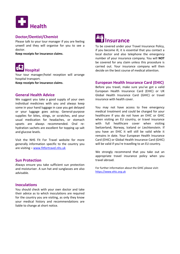

#### **Doctor/Dentist/Chemist**

Please talk to your tour manager if you are feeling unwell and they will organise for you to see a doctor.

**Keep receipts for insurance claims**.



Your tour manager/hotel reception will arrange hospital transport.

**Keep receipts for insurance claims**.

#### **General Health Advice**

We suggest you take a good supply of your own individual medicines with you and always keep some in your hand luggage in case you get delayed or your luggage goes astray. General-purpose supplies for bites, stings, or scratches, and your usual medication for headaches, or stomach upsets are always recommended. Oral rehydration sachets are excellent for topping up salt and glucose levels.

Visit the NHS Fit For Travel website for more generally information specific to the country you are visiting – [www.fitfortravel.nhs.uk](http://www.fitfortravel.nhs.uk/)

#### **Sun Protection**

Always ensure you take sufficient sun protection and moisturiser. A sun hat and sunglasses are also advisable.

#### **Inoculations**

You should check with your own doctor and take their advice as to which inoculations are required for the country you are visiting, as only they know your medical history and recommendations are liable to change at short notice.



To be covered under your Travel Insurance Policy, if you become ill, it is essential that you contact a local doctor and also telephone the emergency number of your insurance company. You will **NOT** be covered for any claim unless this procedure is carried out. Your insurance company will then decide on the best course of medical attention.

#### **European Health Insurance Card (EHIC)**

Before you travel, make sure you've got a valid European Health Insurance Card (EHIC) or UK Global Health Insurance Card (GHIC) or travel insurance with health cover.

You may not have access to free emergency medical treatment and could be charged for your healthcare if you do not have an EHIC or GHIC when visiting an EU country, or travel insurance with full healthcare cover when visiting Switzerland, Norway, Iceland or Liechtenstein. If you have an EHIC it will still be valid while it remains in date. Your European Health Insurance Card (EHIC) or Global Health Insurance Card (GHIC) will be valid if you're travelling to an EU country.

We strongly recommend that you take out an appropriate travel insurance policy when you travel abroad.

For further information about the GHIC please visit: [https://www.ehic.org.uk](https://www.ehic.org.uk/)